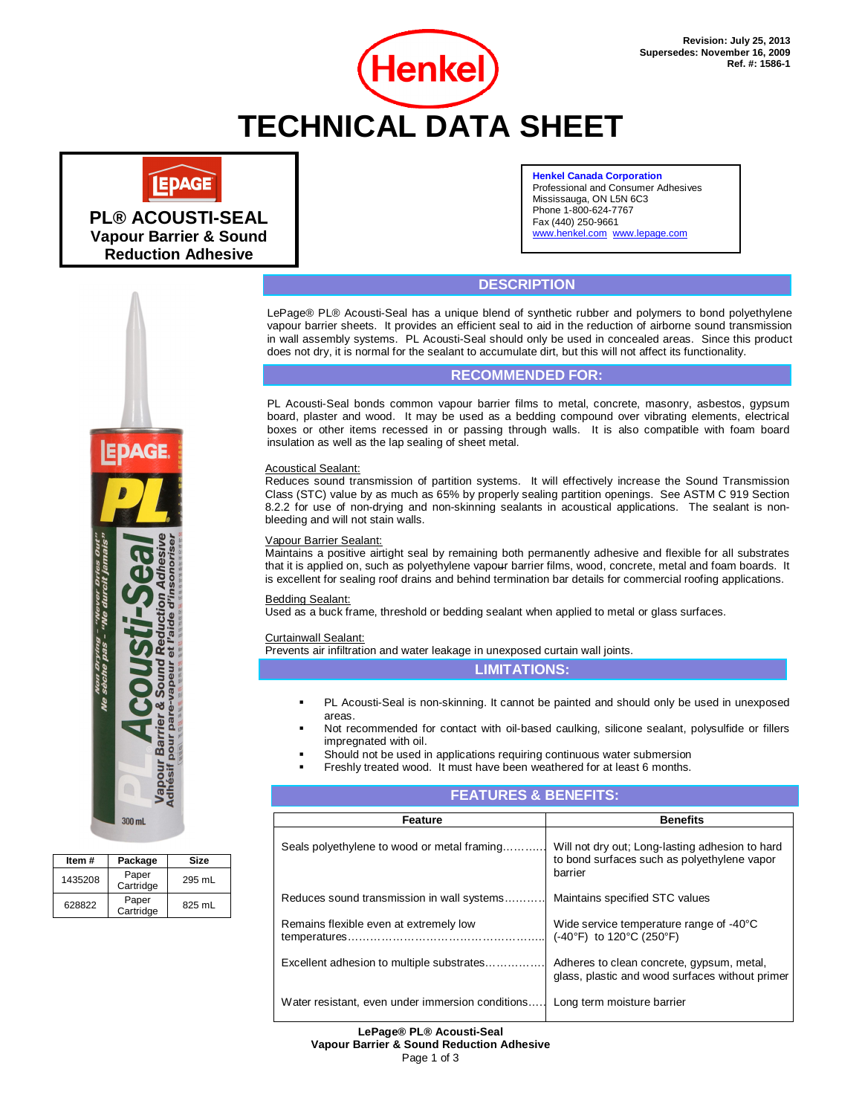

# **LEPAGE**

**PL® ACOUSTI-SEAL Vapour Barrier & Sound Reduction Adhesive**

#### **Henkel Canada Corporation** Professional and Consumer Adhesives Mississauga, ON L5N 6C3 Phone 1-800-624-7767 Fax (440) 250-9661 www.henkel.com www.lepage.com

## **DESCRIPTION**

LePage® PL® Acousti-Seal has a unique blend of synthetic rubber and polymers to bond polyethylene vapour barrier sheets. It provides an efficient seal to aid in the reduction of airborne sound transmission in wall assembly systems. PL Acousti-Seal should only be used in concealed areas. Since this product does not dry, it is normal for the sealant to accumulate dirt, but this will not affect its functionality.

## **RECOMMENDED FOR:**

PL Acousti-Seal bonds common vapour barrier films to metal, concrete, masonry, asbestos, gypsum board, plaster and wood. It may be used as a bedding compound over vibrating elements, electrical boxes or other items recessed in or passing through walls. It is also compatible with foam board insulation as well as the lap sealing of sheet metal.

#### Acoustical Sealant:

Reduces sound transmission of partition systems. It will effectively increase the Sound Transmission Class (STC) value by as much as 65% by properly sealing partition openings. See ASTM C 919 Section 8.2.2 for use of non-drying and non-skinning sealants in acoustical applications. The sealant is nonbleeding and will not stain walls.

#### Vapour Barrier Sealant:

Maintains a positive airtight seal by remaining both permanently adhesive and flexible for all substrates that it is applied on, such as polyethylene vapour barrier films, wood, concrete, metal and foam boards. It is excellent for sealing roof drains and behind termination bar details for commercial roofing applications.

#### Bedding Sealant:

Used as a buck frame, threshold or bedding sealant when applied to metal or glass surfaces.

Curtainwall Sealant:

Prevents air infiltration and water leakage in unexposed curtain wall joints.

#### **LIMITATIONS:**

- PL Acousti-Seal is non-skinning. It cannot be painted and should only be used in unexposed areas.
- Not recommended for contact with oil-based caulking, silicone sealant, polysulfide or fillers impregnated with oil.
- Should not be used in applications requiring continuous water submersion
- Freshly treated wood. It must have been weathered for at least 6 months.

| <b>FEATURES &amp; BENEFITS:</b>                  |                                                                                                           |  |
|--------------------------------------------------|-----------------------------------------------------------------------------------------------------------|--|
| <b>Feature</b>                                   | <b>Benefits</b>                                                                                           |  |
| Seals polyethylene to wood or metal framing      | Will not dry out; Long-lasting adhesion to hard<br>to bond surfaces such as polyethylene vapor<br>barrier |  |
| Reduces sound transmission in wall systems       | Maintains specified STC values                                                                            |  |
| Remains flexible even at extremely low           | Wide service temperature range of -40°C<br>(-40°F) to 120°C (250°F)                                       |  |
| Excellent adhesion to multiple substrates        | Adheres to clean concrete, gypsum, metal,<br>glass, plastic and wood surfaces without primer              |  |
| Water resistant, even under immersion conditions | Long term moisture barrier                                                                                |  |

#### **LePage® PL® Acousti-Seal Vapour Barrier & Sound Reduction Adhesive**

Page 1 of 3



| Item#   | Package            | Size   |  |  |
|---------|--------------------|--------|--|--|
| 1435208 | Paper<br>Cartridge | 295 mL |  |  |
| 628822  | Paper<br>Cartridge | 825 mL |  |  |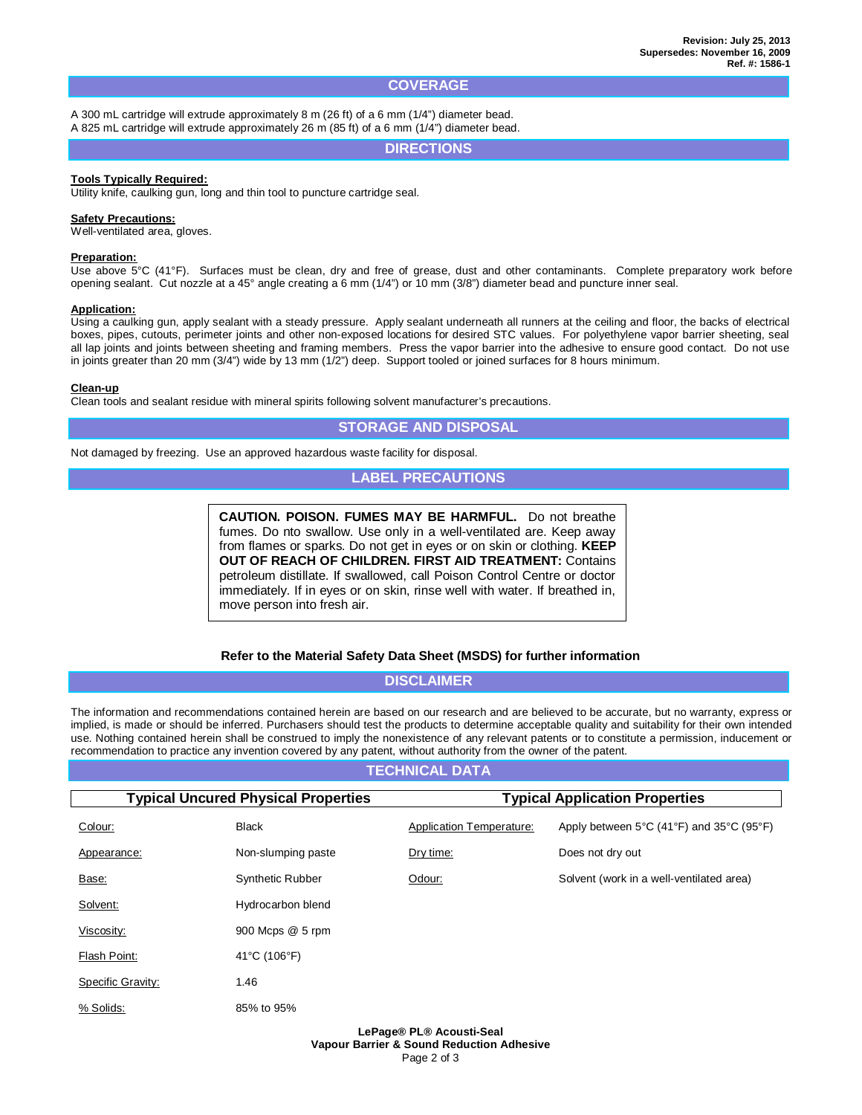## **COVERAGE**

A 300 mL cartridge will extrude approximately 8 m (26 ft) of a 6 mm (1/4") diameter bead. A 825 mL cartridge will extrude approximately 26 m (85 ft) of a 6 mm (1/4") diameter bead.

**DIRECTIONS**

#### **Tools Typically Required:**

Utility knife, caulking gun, long and thin tool to puncture cartridge seal.

#### **Safety Precautions:**

Well-ventilated area, gloves.

#### **Preparation:**

Use above 5°C (41°F). Surfaces must be clean, dry and free of grease, dust and other contaminants. Complete preparatory work before opening sealant. Cut nozzle at a 45° angle creating a 6 mm (1/4") or 10 mm (3/8") diameter bead and puncture inner seal.

#### **Application:**

Using a caulking gun, apply sealant with a steady pressure. Apply sealant underneath all runners at the ceiling and floor, the backs of electrical boxes, pipes, cutouts, perimeter joints and other non-exposed locations for desired STC values. For polyethylene vapor barrier sheeting, seal all lap joints and joints between sheeting and framing members. Press the vapor barrier into the adhesive to ensure good contact. Do not use in joints greater than 20 mm (3/4") wide by 13 mm (1/2") deep. Support tooled or joined surfaces for 8 hours minimum.

#### **Clean-up**

Clean tools and sealant residue with mineral spirits following solvent manufacturer's precautions.

## **STORAGE AND DISPOSAL**

Not damaged by freezing. Use an approved hazardous waste facility for disposal.

## **LABEL PRECAUTIONS**

**CAUTION. POISON. FUMES MAY BE HARMFUL.** Do not breathe fumes. Do nto swallow. Use only in a well-ventilated are. Keep away from flames or sparks. Do not get in eyes or on skin or clothing. **KEEP OUT OF REACH OF CHILDREN. FIRST AID TREATMENT:** Contains petroleum distillate. If swallowed, call Poison Control Centre or doctor immediately. If in eyes or on skin, rinse well with water. If breathed in, move person into fresh air.

#### **Refer to the Material Safety Data Sheet (MSDS) for further information**

## **DISCLAIMER**

The information and recommendations contained herein are based on our research and are believed to be accurate, but no warranty, express or implied, is made or should be inferred. Purchasers should test the products to determine acceptable quality and suitability for their own intended use. Nothing contained herein shall be construed to imply the nonexistence of any relevant patents or to constitute a permission, inducement or recommendation to practice any invention covered by any patent, without authority from the owner of the patent.

## **TECHNICAL DATA**

| <b>Typical Uncured Physical Properties</b> |                    | <b>Typical Application Properties</b> |                                                                                    |
|--------------------------------------------|--------------------|---------------------------------------|------------------------------------------------------------------------------------|
| Colour:                                    | <b>Black</b>       | <b>Application Temperature:</b>       | Apply between $5^{\circ}$ C (41 $^{\circ}$ F) and $35^{\circ}$ C (95 $^{\circ}$ F) |
| Appearance:                                | Non-slumping paste | Dry time:                             | Does not dry out                                                                   |
| Base:                                      | Synthetic Rubber   | Odour:                                | Solvent (work in a well-ventilated area)                                           |
| Solvent:                                   | Hydrocarbon blend  |                                       |                                                                                    |
| Viscosity:                                 | 900 Mcps @ 5 rpm   |                                       |                                                                                    |
| Flash Point:                               | 41°C (106°F)       |                                       |                                                                                    |
| Specific Gravity:                          | 1.46               |                                       |                                                                                    |
| % Solids:                                  | 85% to 95%         |                                       |                                                                                    |